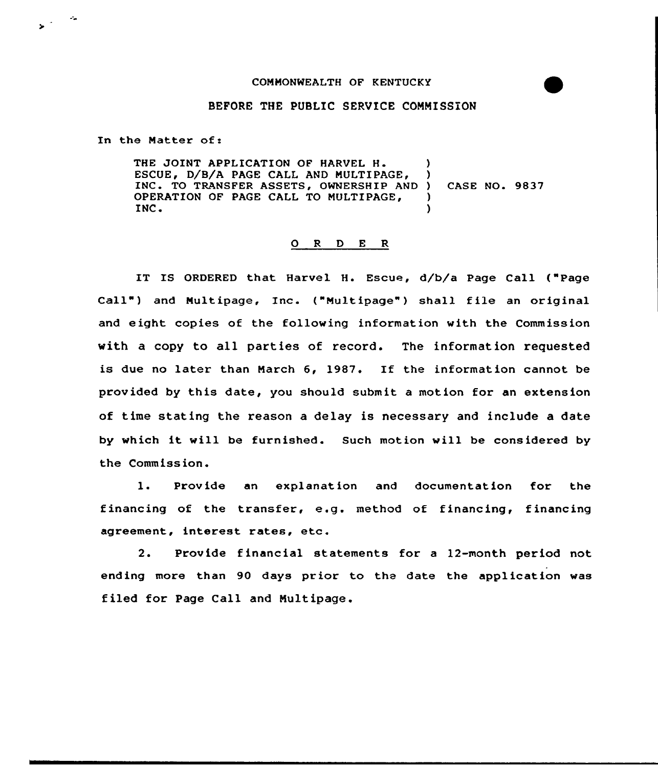## COMMONWEALTH OF KENTUCKY

## BEFORE THE PUBLIC SERVICE CONNISSION

In the Natter of:

 $\mathbf{y}^{(1)}$  and

THE JOINT APPLICATION OF HARVEL H. ESCUE, D/B/A PAGE CALL AND MULTIPAGE, INC. TO TRANSFER ASSETS, OWNERSHIP AND OPERATION OF PAGE CALL TO MULTIPAGE, INC ) ) ) CASE NO. 9837 ) )

## ORDER

IT IS ORDERED that Harvel H. Escue, d/b/a Page Call ("Page Call" ) and Nultipage, Inc. ("Multipage") shall file an original and eight copies of the folloving information with the Commission with a copy to all paxties of record. The information requested is due no later than March  $6$ , 1987. If the information cannot be provided by this date, you should submit a motion for an extension of time stating the reason a delay is necessary and include a date by vhich it will be furnished. Such motion vill be considered by the Commission.

1. Provide an explanation and documentation for the financing of the transfer, e.g. method of financing, financing agreement, interest rates, etc.

2. Provide f inancial statements for <sup>a</sup> 12-month period not ending more than 90 days prior to the date the application was filed for Page Call and Multipage.